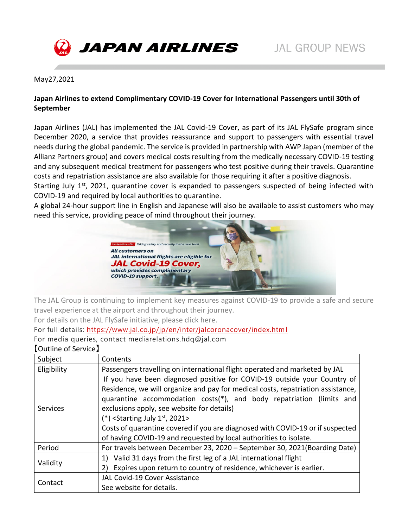

## May27,2021

## **Japan Airlines to extend Complimentary COVID-19 Cover for International Passengers until 30th of September**

Japan Airlines (JAL) has implemented the JAL Covid-19 Cover, as part of its JAL FlySafe program since December 2020, a service that provides reassurance and support to passengers with essential travel needs during the global pandemic. The service is provided in partnership with AWP Japan (member of the Allianz Partners group) and covers medical costs resulting from the medically necessary COVID-19 testing and any subsequent medical treatment for passengers who test positive during their travels. Quarantine costs and repatriation assistance are also available for those requiring it after a positive diagnosis.

Starting July  $1<sup>st</sup>$ , 2021, quarantine cover is expanded to passengers suspected of being infected with COVID-19 and required by local authorities to quarantine.

A global 24-hour support line in English and Japanese will also be available to assist customers who may need this service, providing peace of mind throughout their journey.



The JAL Group is continuing to implement key measures against COVID-19 to provide a safe and secure travel experience at the airport and throughout their journey.

For details on the JAL FlySafe initiative, please click here.

## For full details: [https://www.jal.co.jp/jp/en/inter/jalcoronacover/index.html](https://www.jal.co.jp/jp/en/inter/jalcoronacover/index.html?_ga=2.145994420.1071110674.1622003457-74552823.1583899240)

For media queries, contact mediarelations.hdq@jal.com

| <b>[Outline of Service]</b> |                                                                                                                                                                                                                                                                                                                                                                                                                                                                              |
|-----------------------------|------------------------------------------------------------------------------------------------------------------------------------------------------------------------------------------------------------------------------------------------------------------------------------------------------------------------------------------------------------------------------------------------------------------------------------------------------------------------------|
| Subject                     | Contents                                                                                                                                                                                                                                                                                                                                                                                                                                                                     |
| Eligibility                 | Passengers travelling on international flight operated and marketed by JAL                                                                                                                                                                                                                                                                                                                                                                                                   |
| <b>Services</b>             | If you have been diagnosed positive for COVID-19 outside your Country of<br>Residence, we will organize and pay for medical costs, repatriation assistance,<br>quarantine accommodation costs(*), and body repatriation (limits and<br>exclusions apply, see website for details)<br>$(*)$ < Starting July 1st, 2021><br>Costs of quarantine covered if you are diagnosed with COVID-19 or if suspected<br>of having COVID-19 and requested by local authorities to isolate. |
| Period                      | For travels between December 23, 2020 - September 30, 2021 (Boarding Date)                                                                                                                                                                                                                                                                                                                                                                                                   |
| Validity                    | Valid 31 days from the first leg of a JAL international flight<br>1)                                                                                                                                                                                                                                                                                                                                                                                                         |
|                             | Expires upon return to country of residence, whichever is earlier.<br>2)                                                                                                                                                                                                                                                                                                                                                                                                     |
| Contact                     | <b>JAL Covid-19 Cover Assistance</b>                                                                                                                                                                                                                                                                                                                                                                                                                                         |
|                             | See website for details.                                                                                                                                                                                                                                                                                                                                                                                                                                                     |